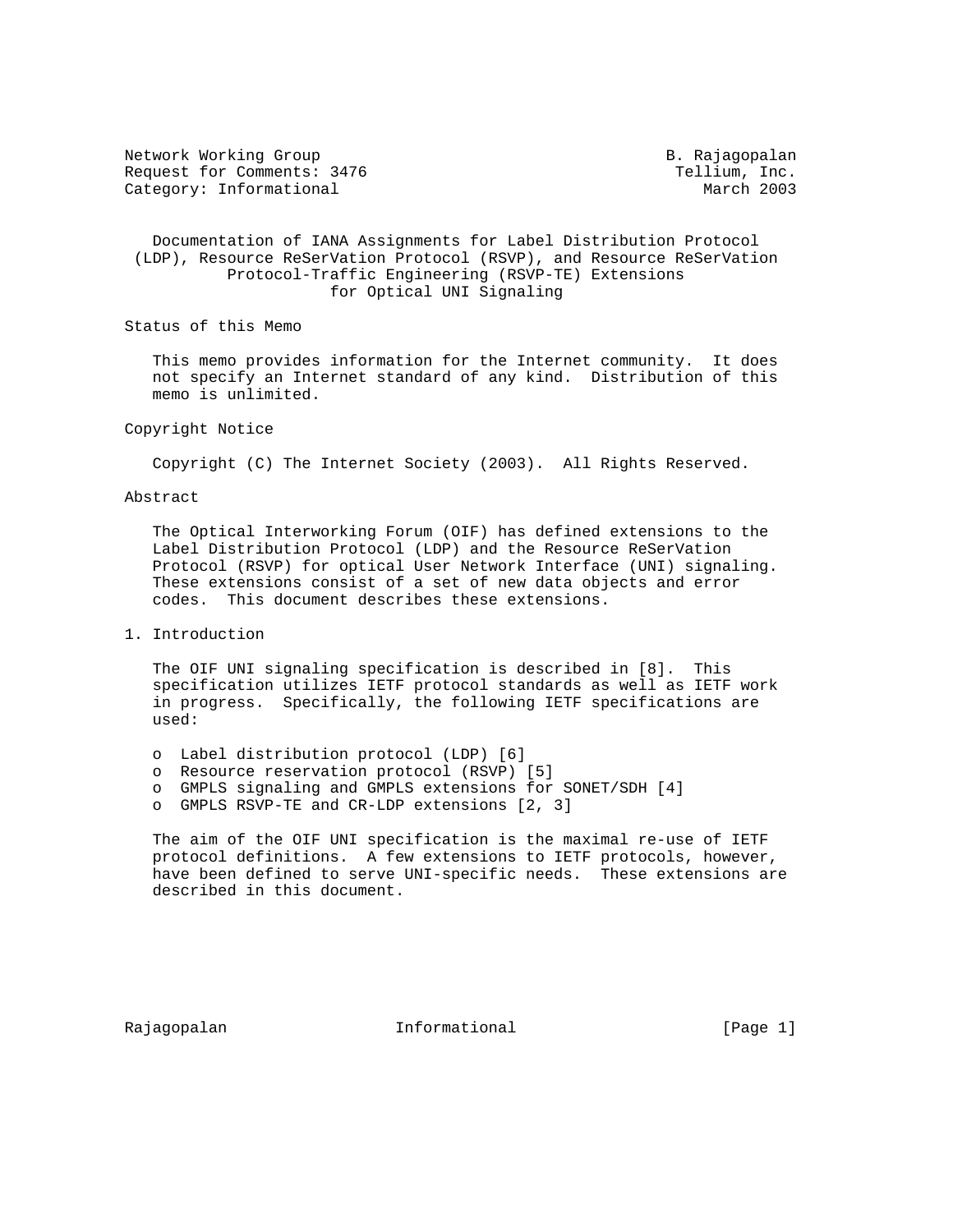Network Working Group and B. Rajagopalan Request for Comments: 3476 Tellium, Inc. Category: Informational and March 2003

### Documentation of IANA Assignments for Label Distribution Protocol (LDP), Resource ReSerVation Protocol (RSVP), and Resource ReSerVation Protocol-Traffic Engineering (RSVP-TE) Extensions for Optical UNI Signaling

Status of this Memo

 This memo provides information for the Internet community. It does not specify an Internet standard of any kind. Distribution of this memo is unlimited.

#### Copyright Notice

Copyright (C) The Internet Society (2003). All Rights Reserved.

### Abstract

 The Optical Interworking Forum (OIF) has defined extensions to the Label Distribution Protocol (LDP) and the Resource ReSerVation Protocol (RSVP) for optical User Network Interface (UNI) signaling. These extensions consist of a set of new data objects and error codes. This document describes these extensions.

## 1. Introduction

 The OIF UNI signaling specification is described in [8]. This specification utilizes IETF protocol standards as well as IETF work in progress. Specifically, the following IETF specifications are used:

- o Label distribution protocol (LDP) [6]
- o Resource reservation protocol (RSVP) [5]
- o GMPLS signaling and GMPLS extensions for SONET/SDH [4]
- o GMPLS RSVP-TE and CR-LDP extensions [2, 3]

 The aim of the OIF UNI specification is the maximal re-use of IETF protocol definitions. A few extensions to IETF protocols, however, have been defined to serve UNI-specific needs. These extensions are described in this document.

Rajagopalan **Informational** Informational [Page 1]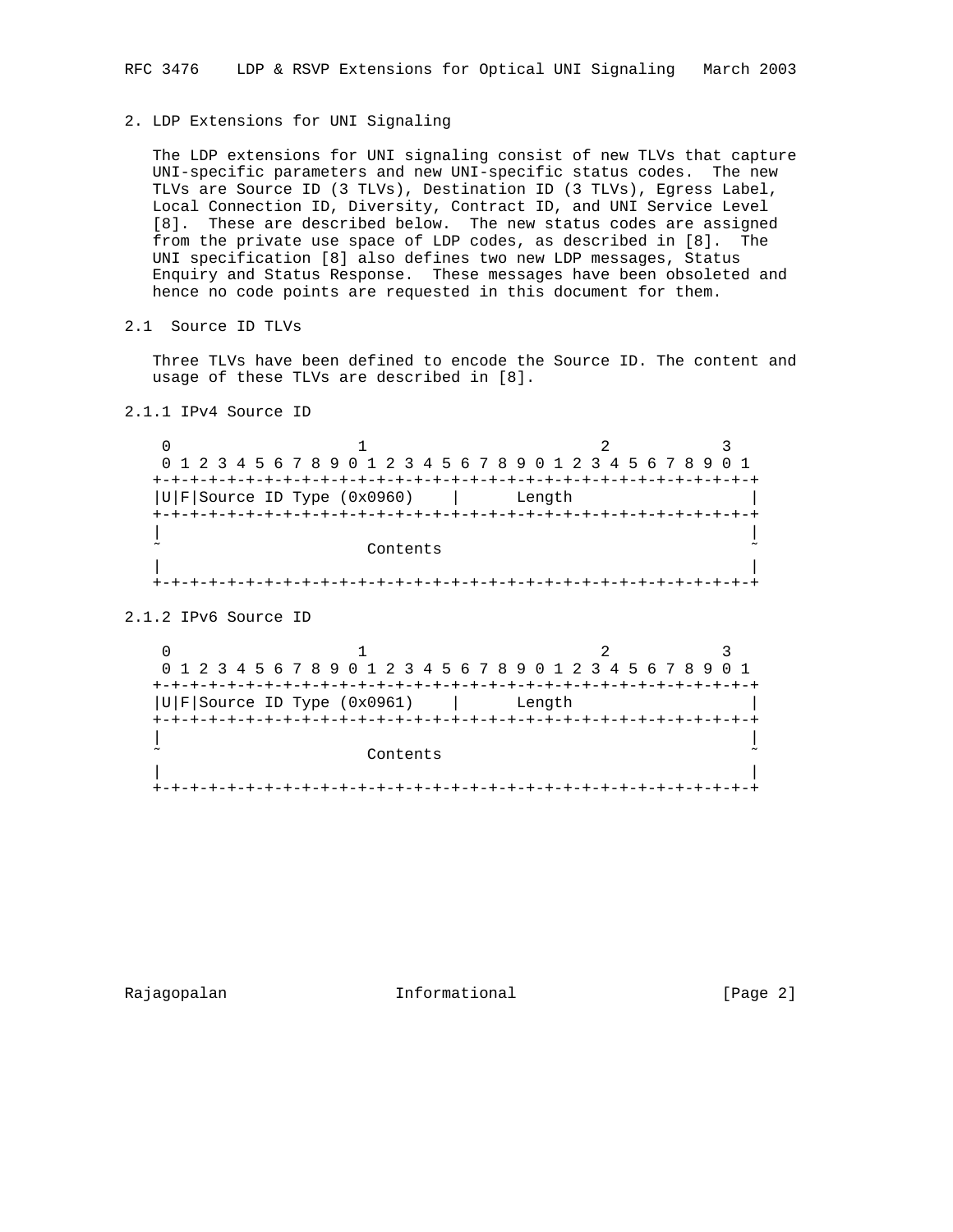## 2. LDP Extensions for UNI Signaling

 The LDP extensions for UNI signaling consist of new TLVs that capture UNI-specific parameters and new UNI-specific status codes. The new TLVs are Source ID (3 TLVs), Destination ID (3 TLVs), Egress Label, Local Connection ID, Diversity, Contract ID, and UNI Service Level [8]. These are described below. The new status codes are assigned from the private use space of LDP codes, as described in [8]. The UNI specification [8] also defines two new LDP messages, Status Enquiry and Status Response. These messages have been obsoleted and hence no code points are requested in this document for them.

2.1 Source ID TLVs

 Three TLVs have been defined to encode the Source ID. The content and usage of these TLVs are described in [8].

2.1.1 IPv4 Source ID

0  $1$  2 3 0 1 2 3 4 5 6 7 8 9 0 1 2 3 4 5 6 7 8 9 0 1 2 3 4 5 6 7 8 9 0 1 +-+-+-+-+-+-+-+-+-+-+-+-+-+-+-+-+-+-+-+-+-+-+-+-+-+-+-+-+-+-+-+-+  $|U|F|$ Source ID Type (0x0960)  $|$  Length +-+-+-+-+-+-+-+-+-+-+-+-+-+-+-+-+-+-+-+-+-+-+-+-+-+-+-+-+-+-+-+-+ | | Contents | | +-+-+-+-+-+-+-+-+-+-+-+-+-+-+-+-+-+-+-+-+-+-+-+-+-+-+-+-+-+-+-+-+

2.1.2 IPv6 Source ID

0  $1$  2 3 0 1 2 3 4 5 6 7 8 9 0 1 2 3 4 5 6 7 8 9 0 1 2 3 4 5 6 7 8 9 0 1 +-+-+-+-+-+-+-+-+-+-+-+-+-+-+-+-+-+-+-+-+-+-+-+-+-+-+-+-+-+-+-+-+  $|U|F|$ Source ID Type (0x0961)  $|U|F|$  Length +-+-+-+-+-+-+-+-+-+-+-+-+-+-+-+-+-+-+-+-+-+-+-+-+-+-+-+-+-+-+-+-+ | | Contents | | +-+-+-+-+-+-+-+-+-+-+-+-+-+-+-+-+-+-+-+-+-+-+-+-+-+-+-+-+-+-+-+-+

Rajagopalan **Informational Informational** [Page 2]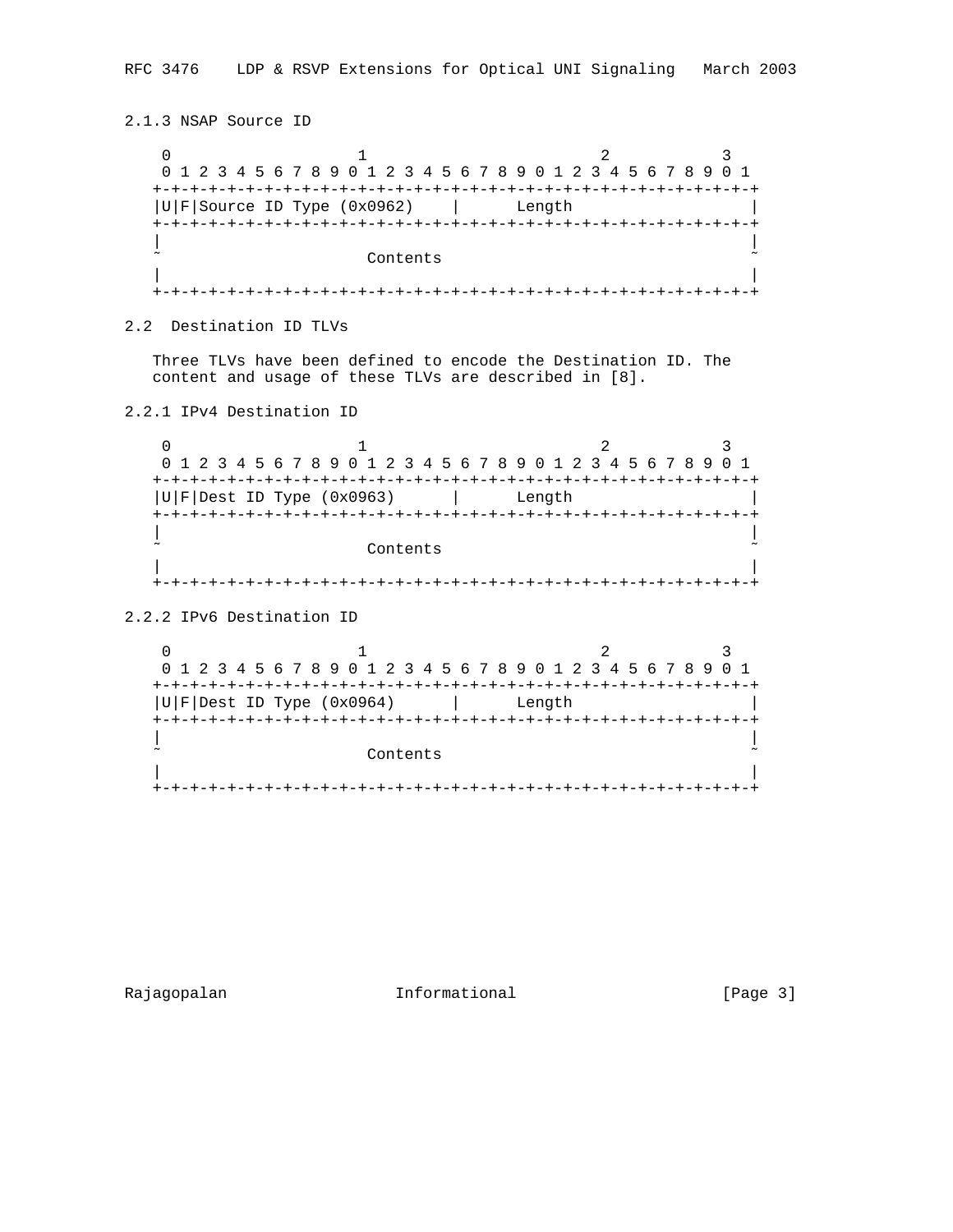```
2.1.3 NSAP Source ID
0 1 2 3
   0 1 2 3 4 5 6 7 8 9 0 1 2 3 4 5 6 7 8 9 0 1 2 3 4 5 6 7 8 9 0 1
   +-+-+-+-+-+-+-+-+-+-+-+-+-+-+-+-+-+-+-+-+-+-+-+-+-+-+-+-+-+-+-+-+
  |U|F|Source ID Type (0x0962) | Length
   +-+-+-+-+-+-+-+-+-+-+-+-+-+-+-+-+-+-+-+-+-+-+-+-+-+-+-+-+-+-+-+-+
 | |
                 Contents
 | |
   +-+-+-+-+-+-+-+-+-+-+-+-+-+-+-+-+-+-+-+-+-+-+-+-+-+-+-+-+-+-+-+-+
2.2 Destination ID TLVs
  Three TLVs have been defined to encode the Destination ID. The
  content and usage of these TLVs are described in [8].
2.2.1 IPv4 Destination ID
0 1 2 3
   0 1 2 3 4 5 6 7 8 9 0 1 2 3 4 5 6 7 8 9 0 1 2 3 4 5 6 7 8 9 0 1
   +-+-+-+-+-+-+-+-+-+-+-+-+-+-+-+-+-+-+-+-+-+-+-+-+-+-+-+-+-+-+-+-+
  |U|F|Dest ID Type (0x0963) | Length
   +-+-+-+-+-+-+-+-+-+-+-+-+-+-+-+-+-+-+-+-+-+-+-+-+-+-+-+-+-+-+-+-+
 | |
                 Contents
 | |
   +-+-+-+-+-+-+-+-+-+-+-+-+-+-+-+-+-+-+-+-+-+-+-+-+-+-+-+-+-+-+-+-+
2.2.2 IPv6 Destination ID
0 1 2 3
   0 1 2 3 4 5 6 7 8 9 0 1 2 3 4 5 6 7 8 9 0 1 2 3 4 5 6 7 8 9 0 1
   +-+-+-+-+-+-+-+-+-+-+-+-+-+-+-+-+-+-+-+-+-+-+-+-+-+-+-+-+-+-+-+-+
  |U|F|Dest ID Type (0x0964) |U|F| Length
   +-+-+-+-+-+-+-+-+-+-+-+-+-+-+-+-+-+-+-+-+-+-+-+-+-+-+-+-+-+-+-+-+
 | |
                 Contents
 | |
   +-+-+-+-+-+-+-+-+-+-+-+-+-+-+-+-+-+-+-+-+-+-+-+-+-+-+-+-+-+-+-+-+
```
Rajagopalan **Informational Informational** [Page 3]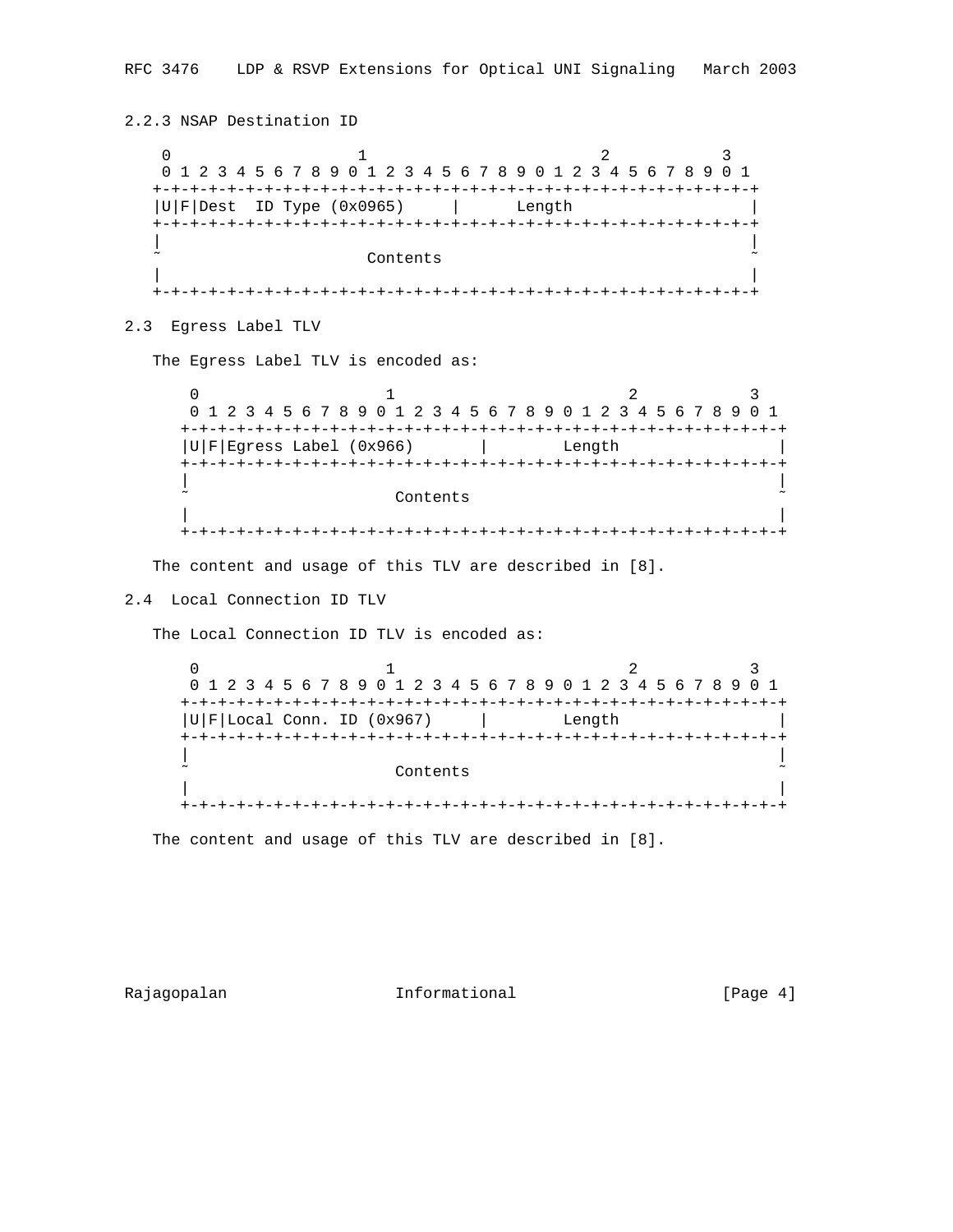```
2.2.3 NSAP Destination ID
0 1 2 3
   0 1 2 3 4 5 6 7 8 9 0 1 2 3 4 5 6 7 8 9 0 1 2 3 4 5 6 7 8 9 0 1
   +-+-+-+-+-+-+-+-+-+-+-+-+-+-+-+-+-+-+-+-+-+-+-+-+-+-+-+-+-+-+-+-+
  |U|F|Dest ID Type (0x0965) | Length
   +-+-+-+-+-+-+-+-+-+-+-+-+-+-+-+-+-+-+-+-+-+-+-+-+-+-+-+-+-+-+-+-+
 | |
                 Contents
 | |
   +-+-+-+-+-+-+-+-+-+-+-+-+-+-+-+-+-+-+-+-+-+-+-+-+-+-+-+-+-+-+-+-+
2.3 Egress Label TLV
  The Egress Label TLV is encoded as:
0 1 2 3
     0 1 2 3 4 5 6 7 8 9 0 1 2 3 4 5 6 7 8 9 0 1 2 3 4 5 6 7 8 9 0 1
     +-+-+-+-+-+-+-+-+-+-+-+-+-+-+-+-+-+-+-+-+-+-+-+-+-+-+-+-+-+-+-+-+
     |U|F|Egress Label (0x966) | Length |
     +-+-+-+-+-+-+-+-+-+-+-+-+-+-+-+-+-+-+-+-+-+-+-+-+-+-+-+-+-+-+-+-+
 | |
                   Contents
 | |
     +-+-+-+-+-+-+-+-+-+-+-+-+-+-+-+-+-+-+-+-+-+-+-+-+-+-+-+-+-+-+-+-+
   The content and usage of this TLV are described in [8].
```

```
2.4 Local Connection ID TLV
```
The Local Connection ID TLV is encoded as:

0  $1$  2 3 0 1 2 3 4 5 6 7 8 9 0 1 2 3 4 5 6 7 8 9 0 1 2 3 4 5 6 7 8 9 0 1 +-+-+-+-+-+-+-+-+-+-+-+-+-+-+-+-+-+-+-+-+-+-+-+-+-+-+-+-+-+-+-+-+  $|U|F|$ Local Conn. ID (0x967)  $|$  Length +-+-+-+-+-+-+-+-+-+-+-+-+-+-+-+-+-+-+-+-+-+-+-+-+-+-+-+-+-+-+-+-+ | | Contents | | +-+-+-+-+-+-+-+-+-+-+-+-+-+-+-+-+-+-+-+-+-+-+-+-+-+-+-+-+-+-+-+-+

The content and usage of this TLV are described in [8].

Rajagopalan **Informational Informational** [Page 4]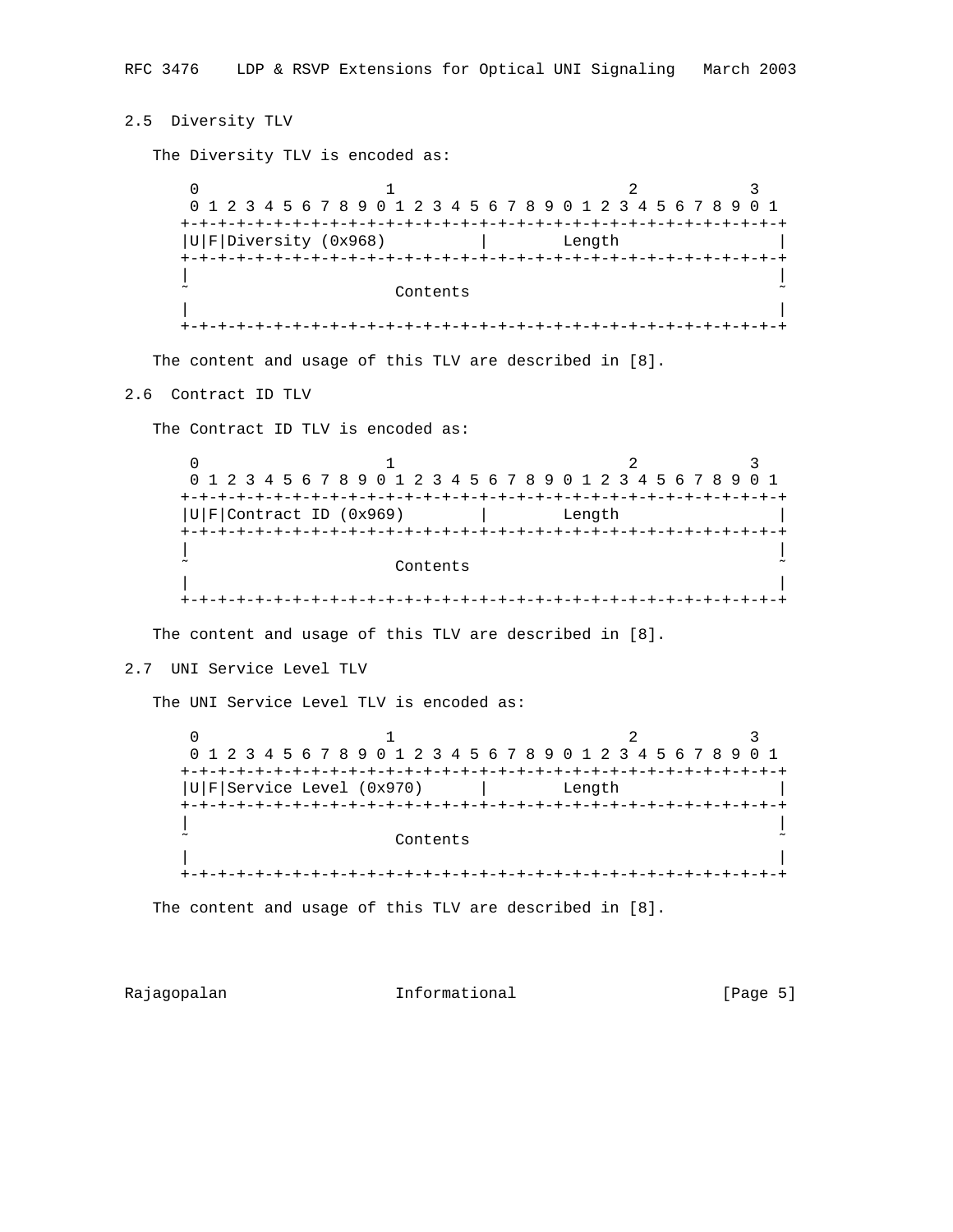## 2.5 Diversity TLV

The Diversity TLV is encoded as:

 $0$  1 2 3 0 1 2 3 4 5 6 7 8 9 0 1 2 3 4 5 6 7 8 9 0 1 2 3 4 5 6 7 8 9 0 1 +-+-+-+-+-+-+-+-+-+-+-+-+-+-+-+-+-+-+-+-+-+-+-+-+-+-+-+-+-+-+-+-+ |U|F|Diversity (0x968) | Length +-+-+-+-+-+-+-+-+-+-+-+-+-+-+-+-+-+-+-+-+-+-+-+-+-+-+-+-+-+-+-+-+ | | Contents | | +-+-+-+-+-+-+-+-+-+-+-+-+-+-+-+-+-+-+-+-+-+-+-+-+-+-+-+-+-+-+-+-+

The content and usage of this TLV are described in [8].

### 2.6 Contract ID TLV

The Contract ID TLV is encoded as:

0  $1$  2 3 0 1 2 3 4 5 6 7 8 9 0 1 2 3 4 5 6 7 8 9 0 1 2 3 4 5 6 7 8 9 0 1 +-+-+-+-+-+-+-+-+-+-+-+-+-+-+-+-+-+-+-+-+-+-+-+-+-+-+-+-+-+-+-+-+  $|U|F|$ Contract ID (0x969)  $|U|$  Length +-+-+-+-+-+-+-+-+-+-+-+-+-+-+-+-+-+-+-+-+-+-+-+-+-+-+-+-+-+-+-+-+ | | Contents | | +-+-+-+-+-+-+-+-+-+-+-+-+-+-+-+-+-+-+-+-+-+-+-+-+-+-+-+-+-+-+-+-+

The content and usage of this TLV are described in [8].

2.7 UNI Service Level TLV

The UNI Service Level TLV is encoded as:

 $0$  1 2 3 0 1 2 3 4 5 6 7 8 9 0 1 2 3 4 5 6 7 8 9 0 1 2 3 4 5 6 7 8 9 0 1 +-+-+-+-+-+-+-+-+-+-+-+-+-+-+-+-+-+-+-+-+-+-+-+-+-+-+-+-+-+-+-+-+ |U|F|Service Level (0x970) | Length +-+-+-+-+-+-+-+-+-+-+-+-+-+-+-+-+-+-+-+-+-+-+-+-+-+-+-+-+-+-+-+-+ | | ˜ Contents ˜ | | +-+-+-+-+-+-+-+-+-+-+-+-+-+-+-+-+-+-+-+-+-+-+-+-+-+-+-+-+-+-+-+-+

The content and usage of this TLV are described in [8].

Rajagopalan **Informational Informational** [Page 5]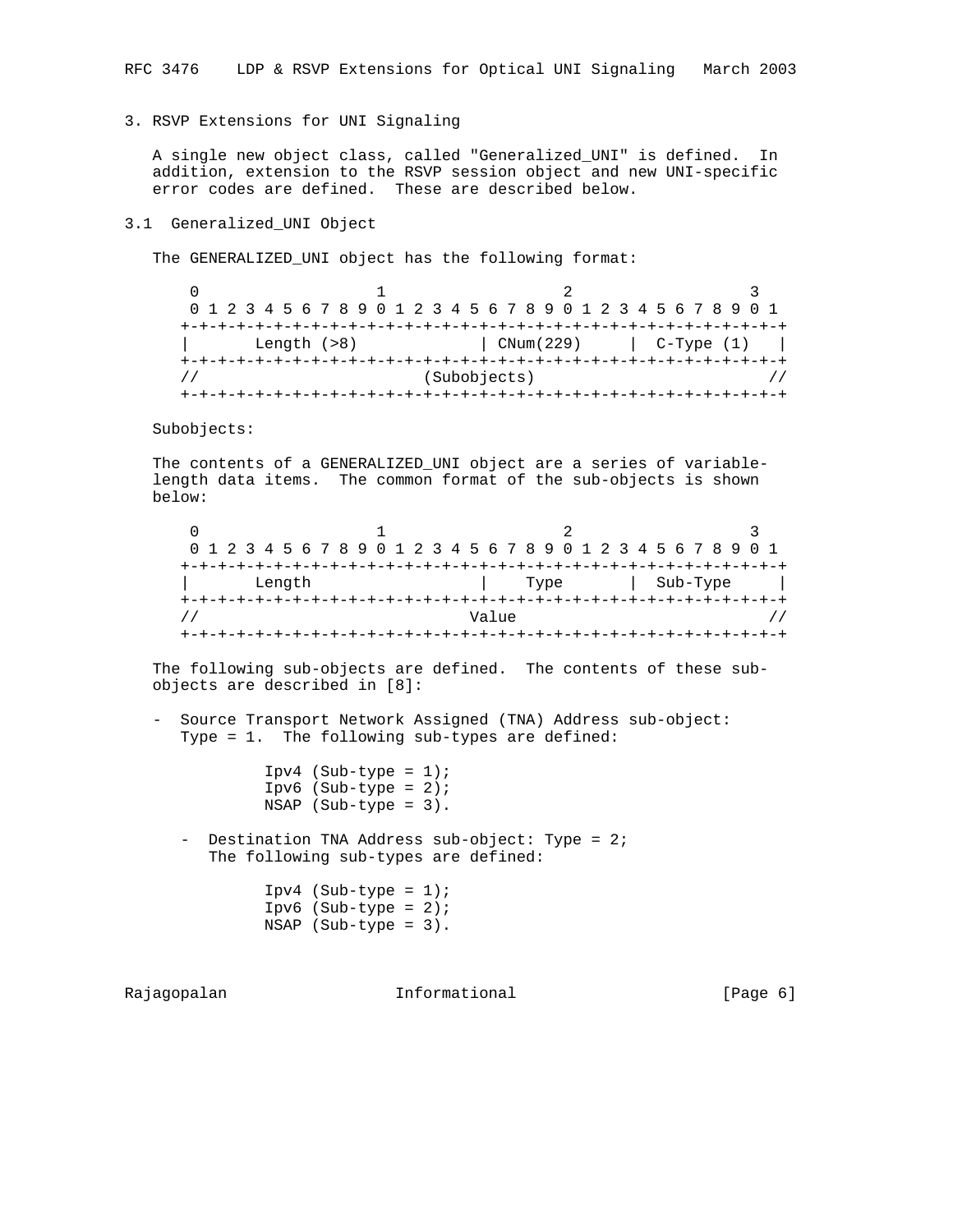3. RSVP Extensions for UNI Signaling

 A single new object class, called "Generalized\_UNI" is defined. In addition, extension to the RSVP session object and new UNI-specific error codes are defined. These are described below.

### 3.1 Generalized\_UNI Object

The GENERALIZED\_UNI object has the following format:

|                                     | 0 1 2 3 4 5 6 7 8 9 0 1 2 3 4 5 6 7 8 9 0 1 2 3 4 5 6 7 8 9 0 1 |  |  |  |  |  |  |  |  |  |  |  |  |           |  |  |  |                    |  |  |  |  |  |  |            |  |  |  |  |  |  |
|-------------------------------------|-----------------------------------------------------------------|--|--|--|--|--|--|--|--|--|--|--|--|-----------|--|--|--|--------------------|--|--|--|--|--|--|------------|--|--|--|--|--|--|
|                                     |                                                                 |  |  |  |  |  |  |  |  |  |  |  |  |           |  |  |  | --+-+-+-+-+-+-+-+- |  |  |  |  |  |  |            |  |  |  |  |  |  |
|                                     | Length $(>8)$                                                   |  |  |  |  |  |  |  |  |  |  |  |  | CNum(229) |  |  |  |                    |  |  |  |  |  |  | C-Type (1) |  |  |  |  |  |  |
| +-+-+-+-+-+-+-+-+-+-+-+-+-+-+-+-+-+ |                                                                 |  |  |  |  |  |  |  |  |  |  |  |  |           |  |  |  |                    |  |  |  |  |  |  |            |  |  |  |  |  |  |
|                                     | (Subobjects)                                                    |  |  |  |  |  |  |  |  |  |  |  |  |           |  |  |  |                    |  |  |  |  |  |  |            |  |  |  |  |  |  |
|                                     |                                                                 |  |  |  |  |  |  |  |  |  |  |  |  |           |  |  |  |                    |  |  |  |  |  |  |            |  |  |  |  |  |  |

Subobjects:

 The contents of a GENERALIZED\_UNI object are a series of variable length data items. The common format of the sub-objects is shown below:

| 0 1 2 3 4 5 6 7 8 9 0 1 2 3 4 5 6 7 8 9 0 1 2 3 4 5 6 7 8 9 0 1 |  |  |  |  |  |  |  |  |  |  |  |  |       |      |  |  |  |  |  |  |  |  |          |  |  |  |  |  |  |  |
|-----------------------------------------------------------------|--|--|--|--|--|--|--|--|--|--|--|--|-------|------|--|--|--|--|--|--|--|--|----------|--|--|--|--|--|--|--|
|                                                                 |  |  |  |  |  |  |  |  |  |  |  |  |       |      |  |  |  |  |  |  |  |  |          |  |  |  |  |  |  |  |
| Length                                                          |  |  |  |  |  |  |  |  |  |  |  |  |       | Type |  |  |  |  |  |  |  |  | Sub-Type |  |  |  |  |  |  |  |
|                                                                 |  |  |  |  |  |  |  |  |  |  |  |  |       |      |  |  |  |  |  |  |  |  |          |  |  |  |  |  |  |  |
|                                                                 |  |  |  |  |  |  |  |  |  |  |  |  | Value |      |  |  |  |  |  |  |  |  |          |  |  |  |  |  |  |  |
|                                                                 |  |  |  |  |  |  |  |  |  |  |  |  |       |      |  |  |  |  |  |  |  |  |          |  |  |  |  |  |  |  |

 The following sub-objects are defined. The contents of these sub objects are described in [8]:

 - Source Transport Network Assigned (TNA) Address sub-object: Type = 1. The following sub-types are defined:

> Ipv4 (Sub-type =  $1$ ); Ipv6  $(Sub-type = 2);$ NSAP (Sub-type = 3).

- Destination TNA Address sub-object: Type = 2; The following sub-types are defined:

> $Ipv4$  (Sub-type = 1); Ipv6 (Sub-type =  $2$ ); NSAP (Sub-type = 3).

Rajagopalan **Informational** Informational [Page 6]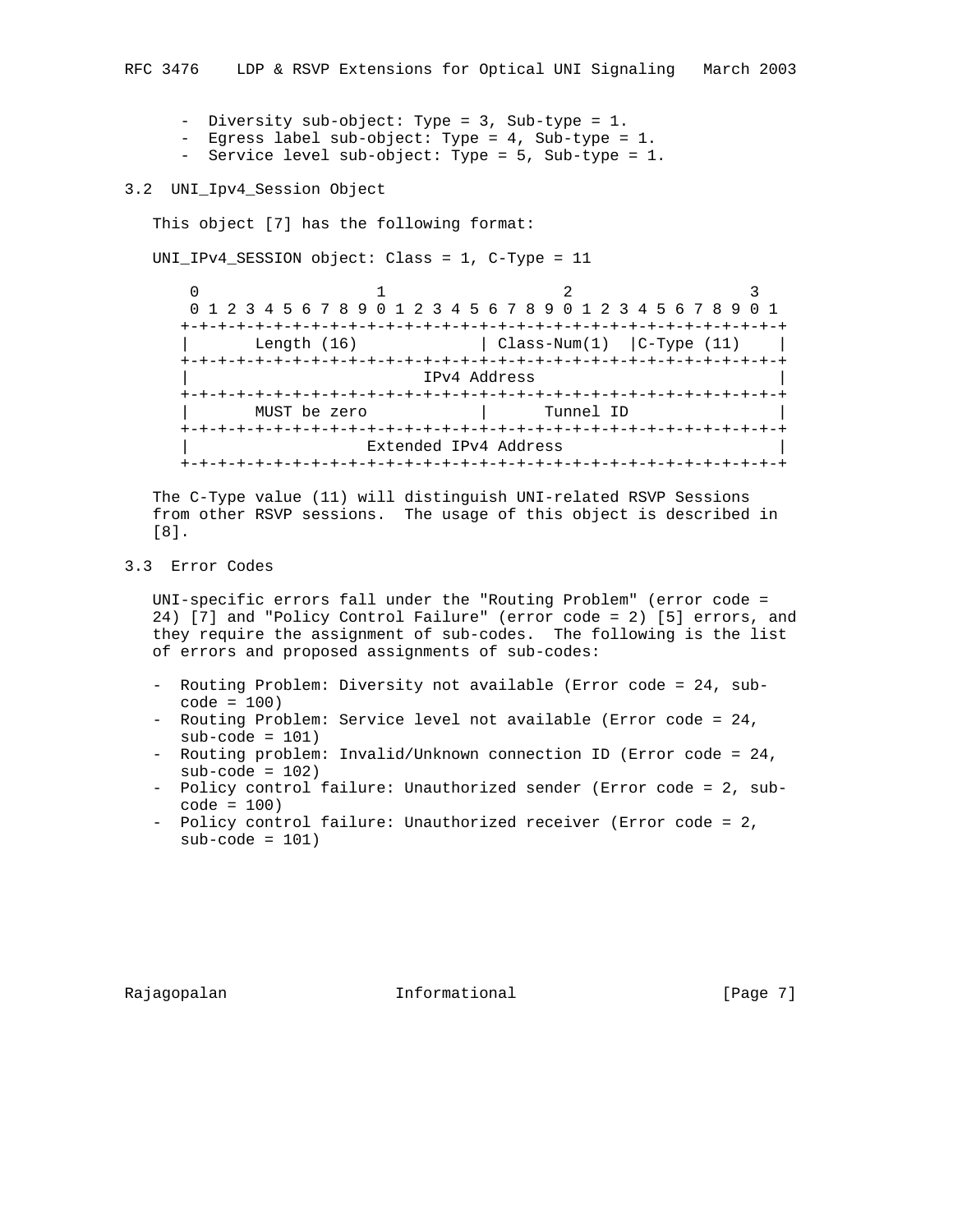- Diversity sub-object: Type = 3, Sub-type = 1.
- Egress label sub-object: Type = 4, Sub-type = 1.
- Service level sub-object: Type = 5, Sub-type = 1.

### 3.2 UNI\_Ipv4\_Session Object

This object [7] has the following format:

UNI\_IPv4\_SESSION object: Class = 1, C-Type = 11

 $0$  1 2 3 0 1 2 3 4 5 6 7 8 9 0 1 2 3 4 5 6 7 8 9 0 1 2 3 4 5 6 7 8 9 0 1 +-+-+-+-+-+-+-+-+-+-+-+-+-+-+-+-+-+-+-+-+-+-+-+-+-+-+-+-+-+-+-+-+ Length  $(16)$  | Class-Num $(1)$  | C-Type  $(11)$  | +-+-+-+-+-+-+-+-+-+-+-+-+-+-+-+-+-+-+-+-+-+-+-+-+-+-+-+-+-+-+-+-+ | IPv4 Address | +-+-+-+-+-+-+-+-+-+-+-+-+-+-+-+-+-+-+-+-+-+-+-+-+-+-+-+-+-+-+-+-+ | MUST be zero | Tunnel ID | +-+-+-+-+-+-+-+-+-+-+-+-+-+-+-+-+-+-+-+-+-+-+-+-+-+-+-+-+-+-+-+-+ Extended IPv4 Address +-+-+-+-+-+-+-+-+-+-+-+-+-+-+-+-+-+-+-+-+-+-+-+-+-+-+-+-+-+-+-+-+

 The C-Type value (11) will distinguish UNI-related RSVP Sessions from other RSVP sessions. The usage of this object is described in [8].

3.3 Error Codes

 UNI-specific errors fall under the "Routing Problem" (error code = 24) [7] and "Policy Control Failure" (error code = 2) [5] errors, and they require the assignment of sub-codes. The following is the list of errors and proposed assignments of sub-codes:

- Routing Problem: Diversity not available (Error code = 24, sub code = 100)
- Routing Problem: Service level not available (Error code = 24, sub-code = 101)
- Routing problem: Invalid/Unknown connection ID (Error code = 24,  $sub-code = 102)$
- Policy control failure: Unauthorized sender (Error code = 2, sub code = 100)
- Policy control failure: Unauthorized receiver (Error code = 2,  $sub-code = 101)$

Rajagopalan **Informational Informational** [Page 7]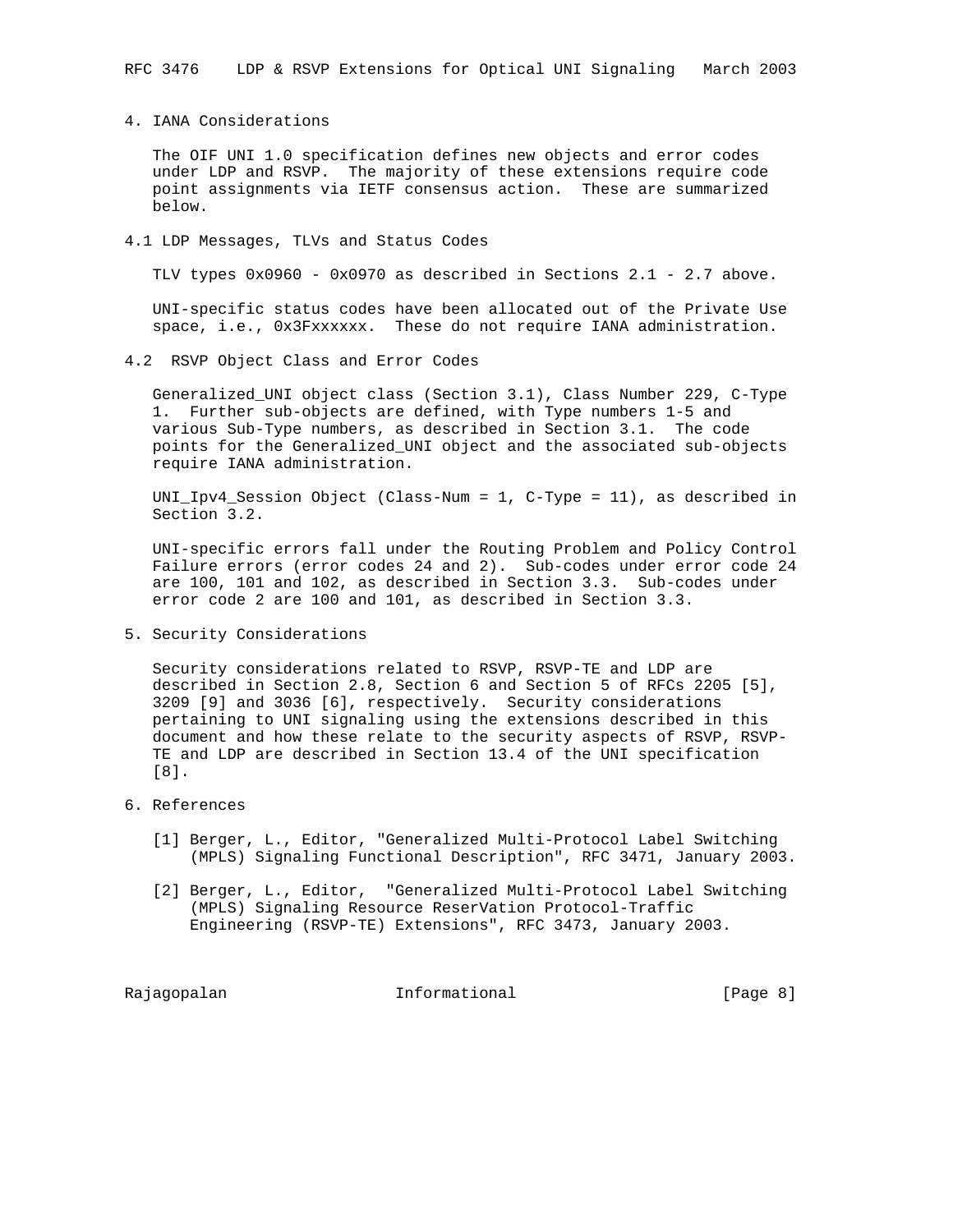4. IANA Considerations

 The OIF UNI 1.0 specification defines new objects and error codes under LDP and RSVP. The majority of these extensions require code point assignments via IETF consensus action. These are summarized below.

4.1 LDP Messages, TLVs and Status Codes

TLV types 0x0960 - 0x0970 as described in Sections 2.1 - 2.7 above.

 UNI-specific status codes have been allocated out of the Private Use space, i.e., 0x3Fxxxxxx. These do not require IANA administration.

4.2 RSVP Object Class and Error Codes

 Generalized\_UNI object class (Section 3.1), Class Number 229, C-Type 1. Further sub-objects are defined, with Type numbers 1-5 and various Sub-Type numbers, as described in Section 3.1. The code points for the Generalized\_UNI object and the associated sub-objects require IANA administration.

 UNI\_Ipv4\_Session Object (Class-Num = 1, C-Type = 11), as described in Section 3.2.

 UNI-specific errors fall under the Routing Problem and Policy Control Failure errors (error codes 24 and 2). Sub-codes under error code 24 are 100, 101 and 102, as described in Section 3.3. Sub-codes under error code 2 are 100 and 101, as described in Section 3.3.

5. Security Considerations

 Security considerations related to RSVP, RSVP-TE and LDP are described in Section 2.8, Section 6 and Section 5 of RFCs 2205 [5], 3209 [9] and 3036 [6], respectively. Security considerations pertaining to UNI signaling using the extensions described in this document and how these relate to the security aspects of RSVP, RSVP- TE and LDP are described in Section 13.4 of the UNI specification [8].

- 6. References
	- [1] Berger, L., Editor, "Generalized Multi-Protocol Label Switching (MPLS) Signaling Functional Description", RFC 3471, January 2003.
	- [2] Berger, L., Editor, "Generalized Multi-Protocol Label Switching (MPLS) Signaling Resource ReserVation Protocol-Traffic Engineering (RSVP-TE) Extensions", RFC 3473, January 2003.

Rajagopalan **Informational** Informational [Page 8]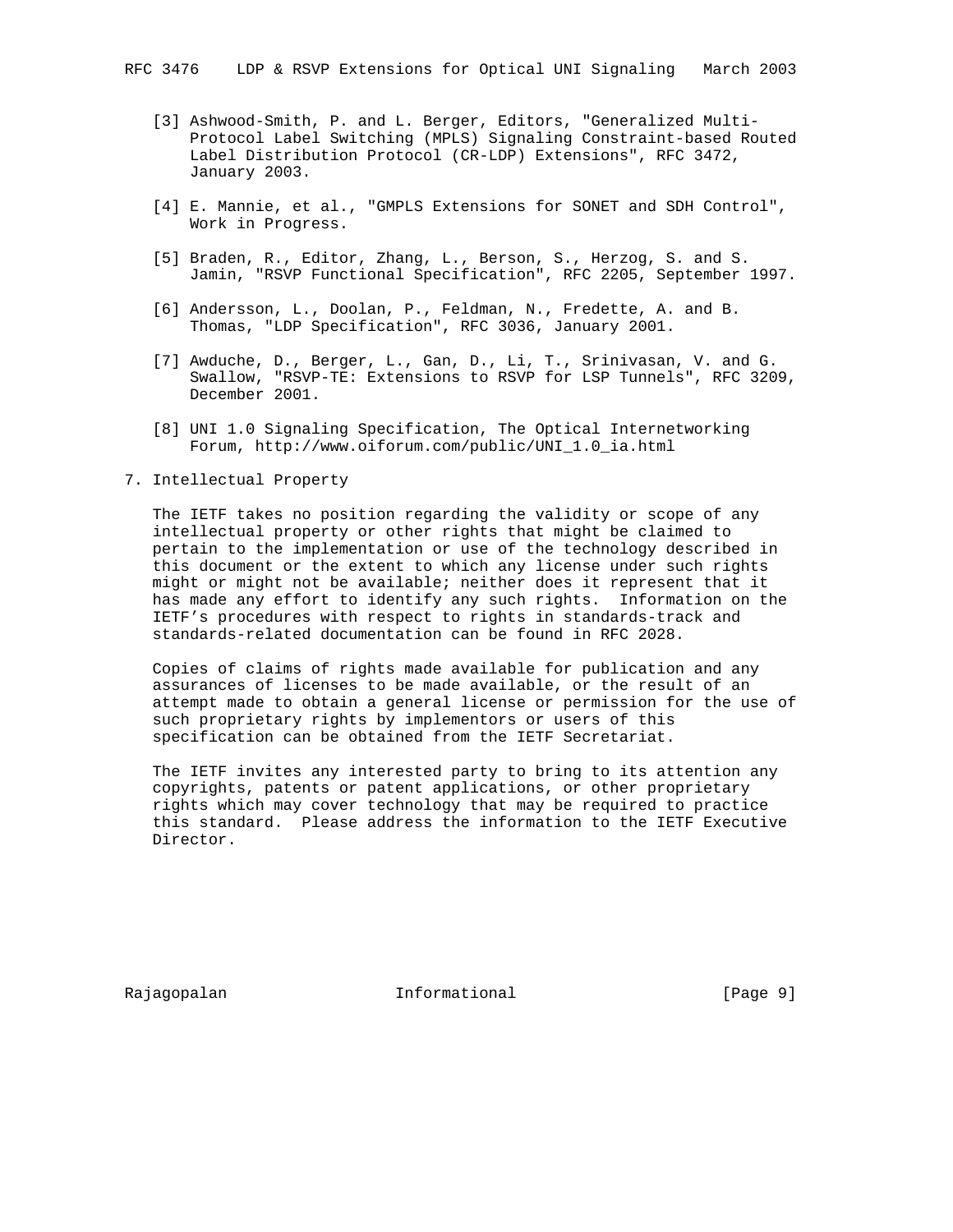- [3] Ashwood-Smith, P. and L. Berger, Editors, "Generalized Multi- Protocol Label Switching (MPLS) Signaling Constraint-based Routed Label Distribution Protocol (CR-LDP) Extensions", RFC 3472, January 2003.
- [4] E. Mannie, et al., "GMPLS Extensions for SONET and SDH Control", Work in Progress.
- [5] Braden, R., Editor, Zhang, L., Berson, S., Herzog, S. and S. Jamin, "RSVP Functional Specification", RFC 2205, September 1997.
- [6] Andersson, L., Doolan, P., Feldman, N., Fredette, A. and B. Thomas, "LDP Specification", RFC 3036, January 2001.
- [7] Awduche, D., Berger, L., Gan, D., Li, T., Srinivasan, V. and G. Swallow, "RSVP-TE: Extensions to RSVP for LSP Tunnels", RFC 3209, December 2001.
- [8] UNI 1.0 Signaling Specification, The Optical Internetworking Forum, http://www.oiforum.com/public/UNI\_1.0\_ia.html
- 7. Intellectual Property

 The IETF takes no position regarding the validity or scope of any intellectual property or other rights that might be claimed to pertain to the implementation or use of the technology described in this document or the extent to which any license under such rights might or might not be available; neither does it represent that it has made any effort to identify any such rights. Information on the IETF's procedures with respect to rights in standards-track and standards-related documentation can be found in RFC 2028.

 Copies of claims of rights made available for publication and any assurances of licenses to be made available, or the result of an attempt made to obtain a general license or permission for the use of such proprietary rights by implementors or users of this specification can be obtained from the IETF Secretariat.

 The IETF invites any interested party to bring to its attention any copyrights, patents or patent applications, or other proprietary rights which may cover technology that may be required to practice this standard. Please address the information to the IETF Executive Director.

Rajagopalan **Informational** Informational [Page 9]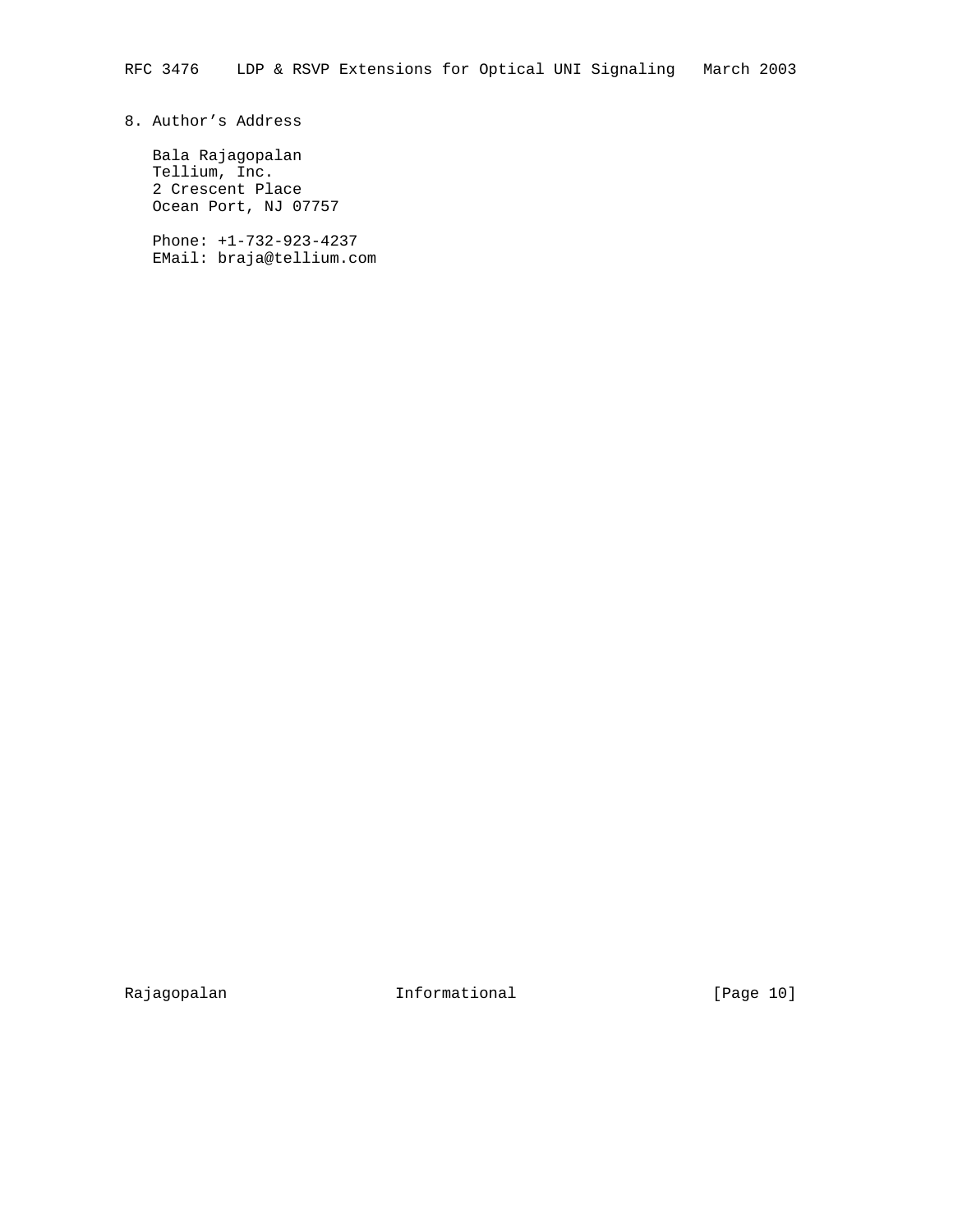# 8. Author's Address

 Bala Rajagopalan Tellium, Inc. 2 Crescent Place Ocean Port, NJ 07757

 Phone: +1-732-923-4237 EMail: braja@tellium.com

Rajagopalan 10 Informational 1999 [Page 10]